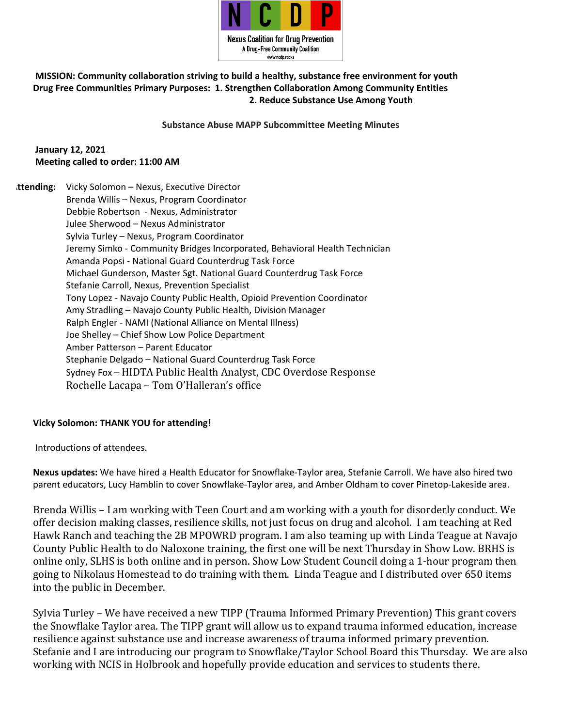

## **MISSION: Community collaboration striving to build a healthy, substance free environment for youth Drug Free Communities Primary Purposes: 1. Strengthen Collaboration Among Community Entities 2. Reduce Substance Use Among Youth**

**Substance Abuse MAPP Subcommittee Meeting Minutes**

#### **January 12, 2021 Meeting called to order: 11:00 AM**

 **Attending:** Vicky Solomon – Nexus, Executive Director Brenda Willis – Nexus, Program Coordinator Debbie Robertson - Nexus, Administrator Julee Sherwood – Nexus Administrator Sylvia Turley – Nexus, Program Coordinator Jeremy Simko - Community Bridges Incorporated, Behavioral Health Technician Amanda Popsi - National Guard Counterdrug Task Force Michael Gunderson, Master Sgt. National Guard Counterdrug Task Force Stefanie Carroll, Nexus, Prevention Specialist Tony Lopez - Navajo County Public Health, Opioid Prevention Coordinator Amy Stradling – Navajo County Public Health, Division Manager Ralph Engler - NAMI (National Alliance on Mental Illness) Joe Shelley – Chief Show Low Police Department Amber Patterson – Parent Educator Stephanie Delgado – National Guard Counterdrug Task Force Sydney Fox – HIDTA Public Health Analyst, CDC Overdose Response Rochelle Lacapa – Tom O'Halleran's office

## **Vicky Solomon: THANK YOU for attending!**

Introductions of attendees.

**Nexus updates:** We have hired a Health Educator for Snowflake-Taylor area, Stefanie Carroll. We have also hired two parent educators, Lucy Hamblin to cover Snowflake-Taylor area, and Amber Oldham to cover Pinetop-Lakeside area.

Brenda Willis - I am working with Teen Court and am working with a youth for disorderly conduct. We offer decision making classes, resilience skills, not just focus on drug and alcohol. I am teaching at Red Hawk Ranch and teaching the 2B MPOWRD program. I am also teaming up with Linda Teague at Navajo County Public Health to do Naloxone training, the first one will be next Thursday in Show Low. BRHS is online only, SLHS is both online and in person. Show Low Student Council doing a 1-hour program then going to Nikolaus Homestead to do training with them. Linda Teague and I distributed over 650 items into the public in December.

Sylvia Turley – We have received a new TIPP (Trauma Informed Primary Prevention) This grant covers the Snowflake Taylor area. The TIPP grant will allow us to expand trauma informed education, increase resilience against substance use and increase awareness of trauma informed primary prevention. Stefanie and I are introducing our program to Snowflake/Taylor School Board this Thursday. We are also working with NCIS in Holbrook and hopefully provide education and services to students there.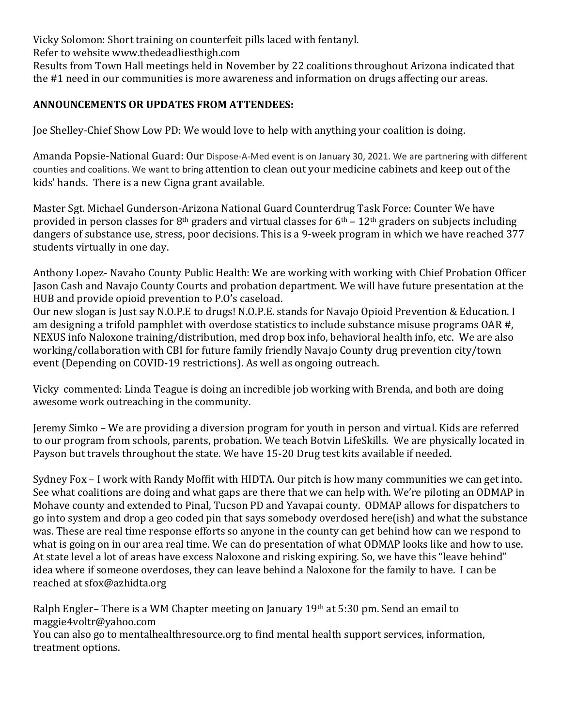Vicky Solomon: Short training on counterfeit pills laced with fentanyl.

Refer to website www.thedeadliesthigh.com

Results from Town Hall meetings held in November by 22 coalitions throughout Arizona indicated that the #1 need in our communities is more awareness and information on drugs affecting our areas.

# **ANNOUNCEMENTS OR UPDATES FROM ATTENDEES:**

Joe Shelley-Chief Show Low PD: We would love to help with anything your coalition is doing.

Amanda Popsie-National Guard: Our Dispose-A-Med event is on January 30, 2021. We are partnering with different counties and coalitions. We want to bring attention to clean out your medicine cabinets and keep out of the kids' hands. There is a new Cigna grant available.

Master Sgt. Michael Gunderson-Arizona National Guard Counterdrug Task Force: Counter We have provided in person classes for  $8<sup>th</sup>$  graders and virtual classes for  $6<sup>th</sup>$  – 12<sup>th</sup> graders on subjects including dangers of substance use, stress, poor decisions. This is a 9-week program in which we have reached 377 students virtually in one day.

Anthony Lopez- Navaho County Public Health: We are working with working with Chief Probation Officer Jason Cash and Navajo County Courts and probation department. We will have future presentation at the HUB and provide opioid prevention to P.O's caseload.

Our new slogan is Just say N.O.P.E to drugs! N.O.P.E. stands for Navajo Opioid Prevention & Education. I am designing a trifold pamphlet with overdose statistics to include substance misuse programs  $OAR$  #, NEXUS info Naloxone training/distribution, med drop box info, behavioral health info, etc. We are also working/collaboration with CBI for future family friendly Navajo County drug prevention city/town event (Depending on COVID-19 restrictions). As well as ongoing outreach.

Vicky commented: Linda Teague is doing an incredible job working with Brenda, and both are doing awesome work outreaching in the community.

Jeremy Simko – We are providing a diversion program for youth in person and virtual. Kids are referred to our program from schools, parents, probation. We teach Botvin LifeSkills. We are physically located in Payson but travels throughout the state. We have 15-20 Drug test kits available if needed.

Sydney Fox – I work with Randy Moffit with HIDTA. Our pitch is how many communities we can get into. See what coalitions are doing and what gaps are there that we can help with. We're piloting an ODMAP in Mohave county and extended to Pinal, Tucson PD and Yavapai county. ODMAP allows for dispatchers to go into system and drop a geo coded pin that says somebody overdosed here(ish) and what the substance was. These are real time response efforts so anyone in the county can get behind how can we respond to what is going on in our area real time. We can do presentation of what ODMAP looks like and how to use. At state level a lot of areas have excess Naloxone and risking expiring. So, we have this "leave behind" idea where if someone overdoses, they can leave behind a Naloxone for the family to have. I can be reached at sfox@azhidta.org

Ralph Engler– There is a WM Chapter meeting on January  $19<sup>th</sup>$  at 5:30 pm. Send an email to maggie4voltr@yahoo.com You can also go to mentalhealthresource.org to find mental health support services, information, treatment options.